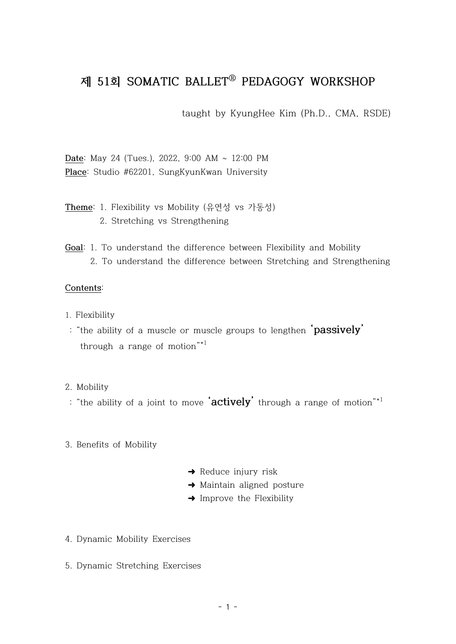# **제 51회 SOMATIC BALLETⓇ PEDAGOGY WORKSHOP**

taught by KyungHee Kim (Ph.D., CMA, RSDE)

**Date**: May 24 (Tues.), 2022, 9:00 AM ~ 12:00 PM **Place**: Studio #62201, SungKyunKwan University

## **Theme**: 1. Flexibility vs Mobility (유연성 vs 가동성) 2. Stretching vs Strengthening

**Goal**: 1. To understand the difference between Flexibility and Mobility 2. To understand the difference between Stretching and Strengthening

#### **Contents**:

- 1. Flexibility
- : "the ability of a muscle or muscle groups to lengthen **'passively'** through a range of motion"\*1

#### 2. Mobility

: "the ability of a joint to move **'actively'** through a range of motion"\*1

#### 3. Benefits of Mobility

- ➜ Reduce injury risk
- **→** Maintain aligned posture
- ➜ Improve the Flexibility
- 4. Dynamic Mobility Exercises
- 5. Dynamic Stretching Exercises